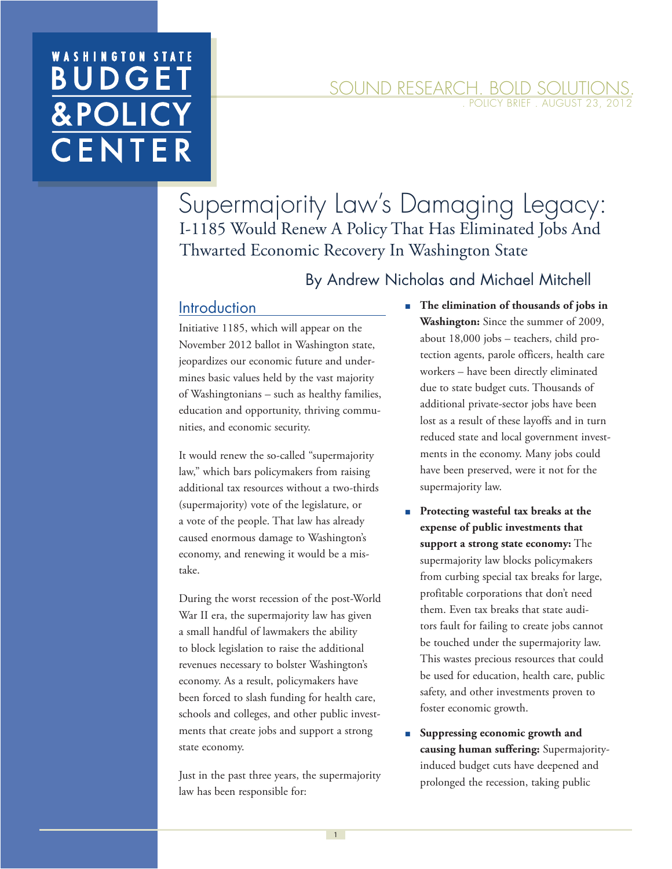# **WASHINGTON STA BUDGE** &POLI CENTE

#### SOUND RESEARCH. BOLD SOLUTION POLICY BRIEF . AUGUST 23, 201

Supermajority Law's Damaging Legacy: I-1185 Would Renew A Policy That Has Eliminated Jobs And Thwarted Economic Recovery In Washington State

#### By Andrew Nicholas and Michael Mitchell

#### **Introduction**

Initiative 1185, which will appear on the November 2012 ballot in Washington state, jeopardizes our economic future and undermines basic values held by the vast majority of Washingtonians – such as healthy families, education and opportunity, thriving communities, and economic security.

It would renew the so-called "supermajority law," which bars policymakers from raising additional tax resources without a two-thirds (supermajority) vote of the legislature, or a vote of the people. That law has already caused enormous damage to Washington's economy, and renewing it would be a mistake.

During the worst recession of the post-World War II era, the supermajority law has given a small handful of lawmakers the ability to block legislation to raise the additional revenues necessary to bolster Washington's economy. As a result, policymakers have been forced to slash funding for health care, schools and colleges, and other public investments that create jobs and support a strong state economy.

Just in the past three years, the supermajority law has been responsible for:

- The elimination of thousands of jobs in **Washington:** Since the summer of 2009, about 18,000 jobs – teachers, child protection agents, parole officers, health care workers – have been directly eliminated due to state budget cuts. Thousands of additional private-sector jobs have been lost as a result of these layoffs and in turn reduced state and local government investments in the economy. Many jobs could have been preserved, were it not for the supermajority law.
- **Protecting wasteful tax breaks at the expense of public investments that support a strong state economy:** The supermajority law blocks policymakers from curbing special tax breaks for large, profitable corporations that don't need them. Even tax breaks that state auditors fault for failing to create jobs cannot be touched under the supermajority law. This wastes precious resources that could be used for education, health care, public safety, and other investments proven to foster economic growth.
- **Suppressing economic growth and causing human suffering:** Supermajorityinduced budget cuts have deepened and prolonged the recession, taking public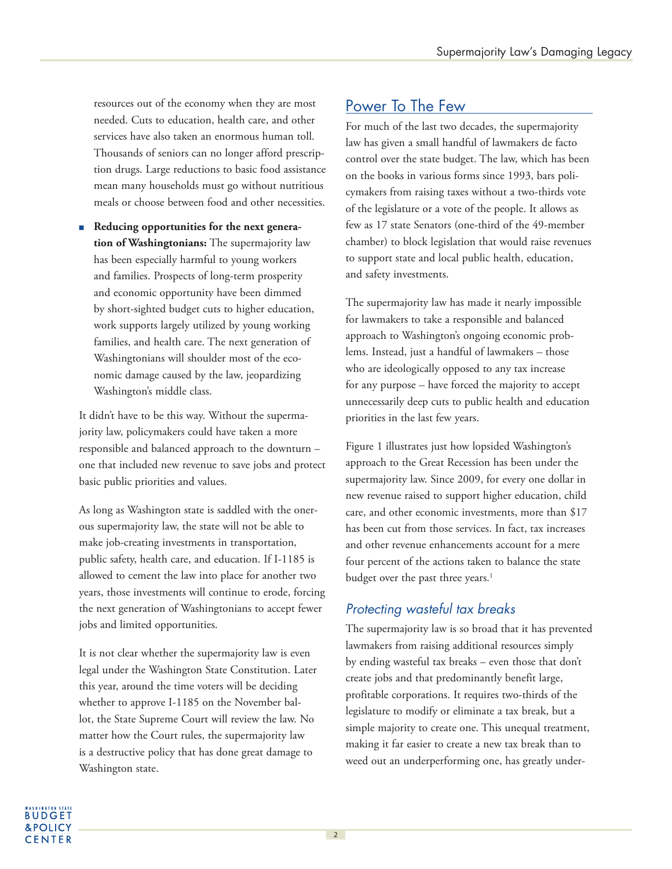resources out of the economy when they are most needed. Cuts to education, health care, and other services have also taken an enormous human toll. Thousands of seniors can no longer afford prescription drugs. Large reductions to basic food assistance mean many households must go without nutritious meals or choose between food and other necessities.

■ Reducing opportunities for the next genera**tion of Washingtonians:** The supermajority law has been especially harmful to young workers and families. Prospects of long-term prosperity and economic opportunity have been dimmed by short-sighted budget cuts to higher education, work supports largely utilized by young working families, and health care. The next generation of Washingtonians will shoulder most of the economic damage caused by the law, jeopardizing Washington's middle class.

It didn't have to be this way. Without the supermajority law, policymakers could have taken a more responsible and balanced approach to the downturn – one that included new revenue to save jobs and protect basic public priorities and values.

As long as Washington state is saddled with the onerous supermajority law, the state will not be able to make job-creating investments in transportation, public safety, health care, and education. If I-1185 is allowed to cement the law into place for another two years, those investments will continue to erode, forcing the next generation of Washingtonians to accept fewer jobs and limited opportunities.

It is not clear whether the supermajority law is even legal under the Washington State Constitution. Later this year, around the time voters will be deciding whether to approve I-1185 on the November ballot, the State Supreme Court will review the law. No matter how the Court rules, the supermajority law is a destructive policy that has done great damage to Washington state.

# Power To The Few

For much of the last two decades, the supermajority law has given a small handful of lawmakers de facto control over the state budget. The law, which has been on the books in various forms since 1993, bars policymakers from raising taxes without a two-thirds vote of the legislature or a vote of the people. It allows as few as 17 state Senators (one-third of the 49-member chamber) to block legislation that would raise revenues to support state and local public health, education, and safety investments.

The supermajority law has made it nearly impossible for lawmakers to take a responsible and balanced approach to Washington's ongoing economic problems. Instead, just a handful of lawmakers – those who are ideologically opposed to any tax increase for any purpose – have forced the majority to accept unnecessarily deep cuts to public health and education priorities in the last few years.

Figure 1 illustrates just how lopsided Washington's approach to the Great Recession has been under the supermajority law. Since 2009, for every one dollar in new revenue raised to support higher education, child care, and other economic investments, more than \$17 has been cut from those services. In fact, tax increases and other revenue enhancements account for a mere four percent of the actions taken to balance the state budget over the past three years.<sup>1</sup>

#### Protecting wasteful tax breaks

The supermajority law is so broad that it has prevented lawmakers from raising additional resources simply by ending wasteful tax breaks – even those that don't create jobs and that predominantly benefit large, profitable corporations. It requires two-thirds of the legislature to modify or eliminate a tax break, but a simple majority to create one. This unequal treatment, making it far easier to create a new tax break than to weed out an underperforming one, has greatly under-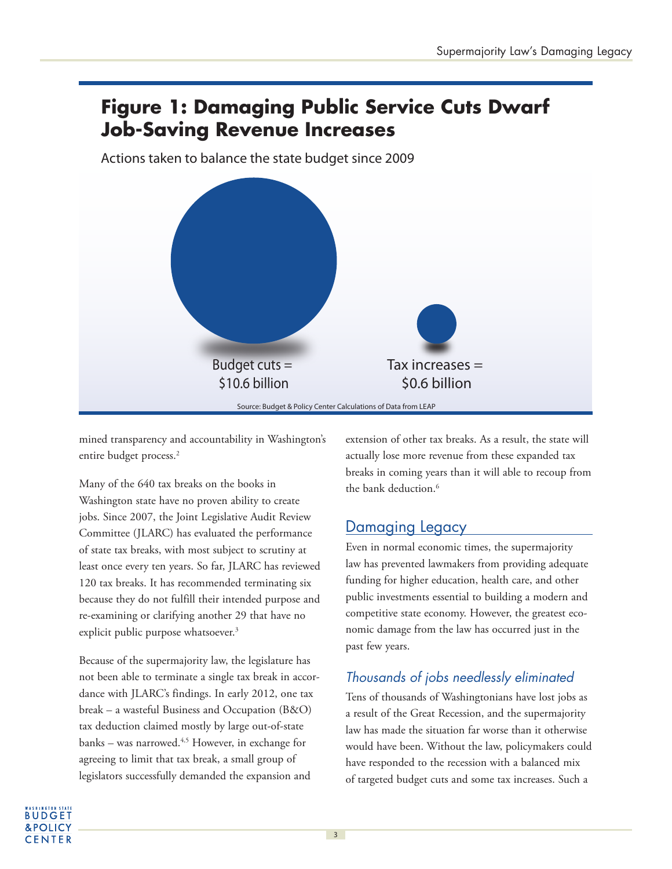# **Figure 1: Damaging Public Service Cuts Dwarf Job-Saving Revenue Increases**

Actions taken to balance the state budget since 2009



mined transparency and accountability in Washington's entire budget process.<sup>2</sup>

Many of the 640 tax breaks on the books in Washington state have no proven ability to create jobs. Since 2007, the Joint Legislative Audit Review Committee (JLARC) has evaluated the performance of state tax breaks, with most subject to scrutiny at least once every ten years. So far, JLARC has reviewed 120 tax breaks. It has recommended terminating six because they do not fulfill their intended purpose and re-examining or clarifying another 29 that have no explicit public purpose whatsoever.<sup>3</sup>

Because of the supermajority law, the legislature has not been able to terminate a single tax break in accordance with JLARC's findings. In early 2012, one tax break – a wasteful Business and Occupation (B&O) tax deduction claimed mostly by large out-of-state banks – was narrowed.<sup>4,5</sup> However, in exchange for agreeing to limit that tax break, a small group of legislators successfully demanded the expansion and

extension of other tax breaks. As a result, the state will actually lose more revenue from these expanded tax breaks in coming years than it will able to recoup from the bank deduction.<sup>6</sup>

# Damaging Legacy

Even in normal economic times, the supermajority law has prevented lawmakers from providing adequate funding for higher education, health care, and other public investments essential to building a modern and competitive state economy. However, the greatest economic damage from the law has occurred just in the past few years.

# Thousands of jobs needlessly eliminated

Tens of thousands of Washingtonians have lost jobs as a result of the Great Recession, and the supermajority law has made the situation far worse than it otherwise would have been. Without the law, policymakers could have responded to the recession with a balanced mix of targeted budget cuts and some tax increases. Such a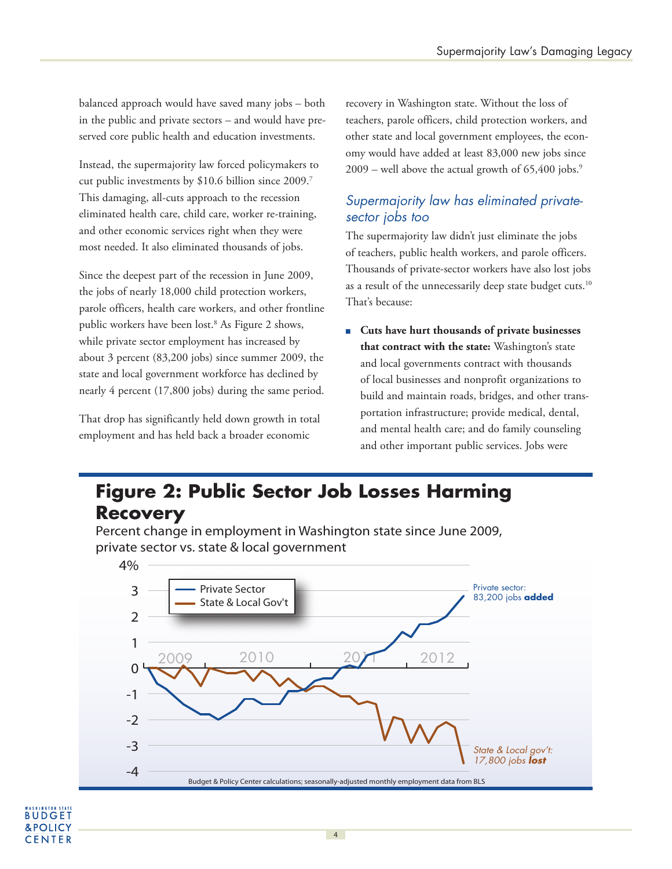balanced approach would have saved many jobs – both in the public and private sectors – and would have preserved core public health and education investments.

Instead, the supermajority law forced policymakers to cut public investments by \$10.6 billion since 2009.<sup>7</sup> This damaging, all-cuts approach to the recession eliminated health care, child care, worker re-training, and other economic services right when they were most needed. It also eliminated thousands of jobs.

Since the deepest part of the recession in June 2009, the jobs of nearly 18,000 child protection workers, parole officers, health care workers, and other frontline public workers have been lost.<sup>8</sup> As Figure 2 shows, while private sector employment has increased by about 3 percent (83,200 jobs) since summer 2009, the state and local government workforce has declined by nearly 4 percent (17,800 jobs) during the same period.

That drop has significantly held down growth in total employment and has held back a broader economic

recovery in Washington state. Without the loss of teachers, parole officers, child protection workers, and other state and local government employees, the economy would have added at least 83,000 new jobs since  $2009$  – well above the actual growth of 65,400 jobs.<sup>9</sup>

#### Supermajority law has eliminated privatesector jobs too

The supermajority law didn't just eliminate the jobs of teachers, public health workers, and parole officers. Thousands of private-sector workers have also lost jobs as a result of the unnecessarily deep state budget cuts.<sup>10</sup> That's because:

■ **Cuts have hurt thousands of private businesses that contract with the state:** Washington's state and local governments contract with thousands of local businesses and nonprofit organizations to build and maintain roads, bridges, and other transportation infrastructure; provide medical, dental, and mental health care; and do family counseling and other important public services. Jobs were

# **Figure 2: Public Sector Job Losses Harming Recovery**

Percent change in employment in Washington state since June 2009, private sector vs. state & local government

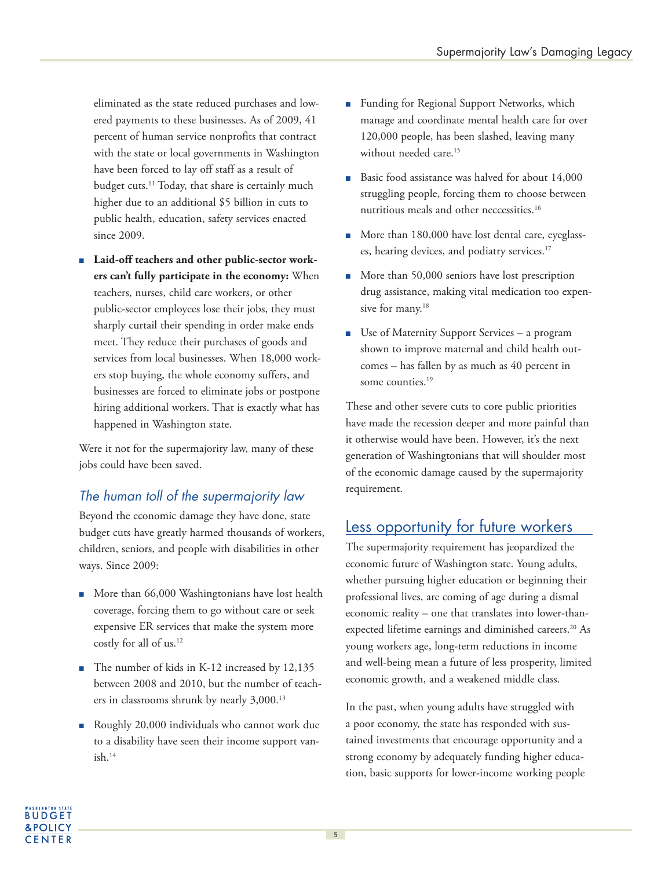eliminated as the state reduced purchases and lowered payments to these businesses. As of 2009, 41 percent of human service nonprofits that contract with the state or local governments in Washington have been forced to lay off staff as a result of budget cuts.<sup>11</sup> Today, that share is certainly much higher due to an additional \$5 billion in cuts to public health, education, safety services enacted since 2009.

■ Laid-off teachers and other public-sector work**ers can't fully participate in the economy:** When teachers, nurses, child care workers, or other public-sector employees lose their jobs, they must sharply curtail their spending in order make ends meet. They reduce their purchases of goods and services from local businesses. When 18,000 workers stop buying, the whole economy suffers, and businesses are forced to eliminate jobs or postpone hiring additional workers. That is exactly what has happened in Washington state.

Were it not for the supermajority law, many of these jobs could have been saved.

### The human toll of the supermajority law

Beyond the economic damage they have done, state budget cuts have greatly harmed thousands of workers, children, seniors, and people with disabilities in other ways. Since 2009:

- More than 66,000 Washingtonians have lost health coverage, forcing them to go without care or seek expensive ER services that make the system more costly for all of us.<sup>12</sup>
- The number of kids in K-12 increased by 12,135 between 2008 and 2010, but the number of teachers in classrooms shrunk by nearly 3,000.<sup>13</sup>
- Roughly 20,000 individuals who cannot work due to a disability have seen their income support van $ish.<sup>14</sup>$
- Funding for Regional Support Networks, which manage and coordinate mental health care for over 120,000 people, has been slashed, leaving many without needed care.<sup>15</sup>
- Basic food assistance was halved for about 14,000 struggling people, forcing them to choose between nutritious meals and other neccessities.<sup>16</sup>
- More than 180,000 have lost dental care, eyeglasses, hearing devices, and podiatry services.<sup>17</sup>
- More than 50,000 seniors have lost prescription drug assistance, making vital medication too expensive for many.<sup>18</sup>
- Use of Maternity Support Services a program shown to improve maternal and child health outcomes – has fallen by as much as 40 percent in some counties.<sup>19</sup>

These and other severe cuts to core public priorities have made the recession deeper and more painful than it otherwise would have been. However, it's the next generation of Washingtonians that will shoulder most of the economic damage caused by the supermajority requirement.

### Less opportunity for future workers

The supermajority requirement has jeopardized the economic future of Washington state. Young adults, whether pursuing higher education or beginning their professional lives, are coming of age during a dismal economic reality – one that translates into lower-thanexpected lifetime earnings and diminished careers.<sup>20</sup> As young workers age, long-term reductions in income and well-being mean a future of less prosperity, limited economic growth, and a weakened middle class.

In the past, when young adults have struggled with a poor economy, the state has responded with sustained investments that encourage opportunity and a strong economy by adequately funding higher education, basic supports for lower-income working people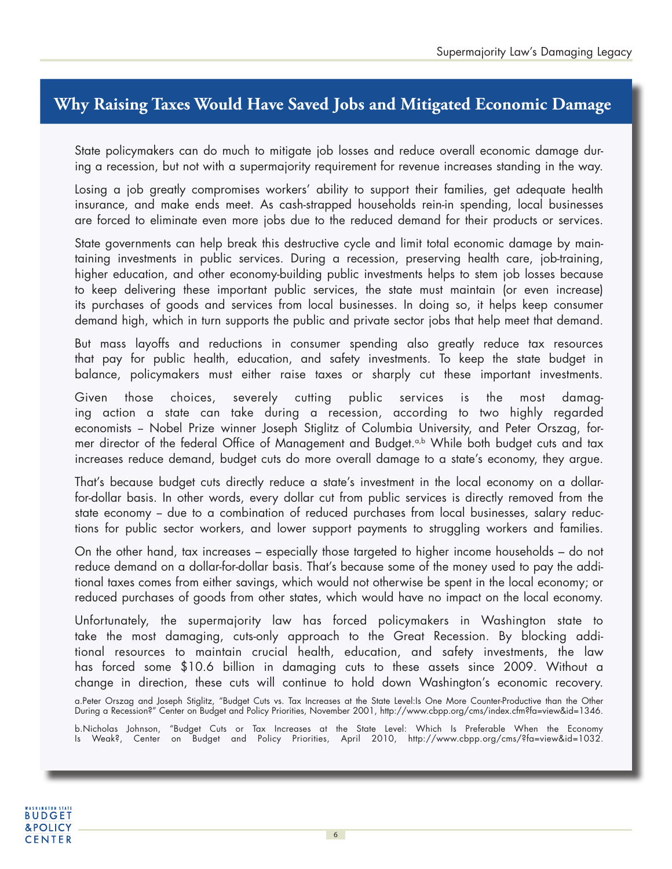# **Why Raising Taxes Would Have Saved Jobs and Mitigated Economic Damage**

State policymakers can do much to mitigate job losses and reduce overall economic damage during a recession, but not with a supermajority requirement for revenue increases standing in the way.

Losing a job greatly compromises workers' ability to support their families, get adequate health insurance, and make ends meet. As cash-strapped households rein-in spending, local businesses are forced to eliminate even more jobs due to the reduced demand for their products or services.

State governments can help break this destructive cycle and limit total economic damage by maintaining investments in public services. During a recession, preserving health care, job-training, higher education, and other economy-building public investments helps to stem job losses because to keep delivering these important public services, the state must maintain (or even increase) its purchases of goods and services from local businesses. In doing so, it helps keep consumer demand high, which in turn supports the public and private sector jobs that help meet that demand.

But mass layoffs and reductions in consumer spending also greatly reduce tax resources that pay for public health, education, and safety investments. To keep the state budget in balance, policymakers must either raise taxes or sharply cut these important investments.

Given those choices, severely cutting public services is the most damaging action a state can take during a recession, according to two highly regarded economists -- Nobel Prize winner Joseph Stiglitz of Columbia University, and Peter Orszag, former director of the federal Office of Management and Budget.<sup>a,b</sup> While both budget cuts and tax increases reduce demand, budget cuts do more overall damage to a state's economy, they argue.

That's because budget cuts directly reduce a state's investment in the local economy on a dollarfor-dollar basis. In other words, every dollar cut from public services is directly removed from the state economy - due to a combination of reduced purchases from local businesses, salary reductions for public sector workers, and lower support payments to struggling workers and families.

On the other hand, tax increases – especially those targeted to higher income households – do not reduce demand on a dollar-for-dollar basis. That's because some of the money used to pay the additional taxes comes from either savings, which would not otherwise be spent in the local economy; or reduced purchases of goods from other states, which would have no impact on the local economy.

Unfortunately, the supermajority law has forced policymakers in Washington state to take the most damaging, cuts-only approach to the Great Recession. By blocking additional resources to maintain crucial health, education, and safety investments, the law has forced some \$10.6 billion in damaging cuts to these assets since 2009. Without a change in direction, these cuts will continue to hold down Washington's economic recovery.

a.Peter Orszag and Joseph Stiglitz, "Budget Cuts vs. Tax Increases at the State Level:Is One More Counter-Productive than the Other During a Recession?" Center on Budget and Policy Priorities, November 2001, http://www.cbpp.org/cms/index.cfm?fa=view&id=1346.

b.Nicholas Johnson, "Budget Cuts or Tax Increases at the State Level: Which Is Preferable When the Economy Is Weak?, Center on Budget and Policy Priorities, April 2010, http://www.cbpp.org/cms/?fa=view&id=1032.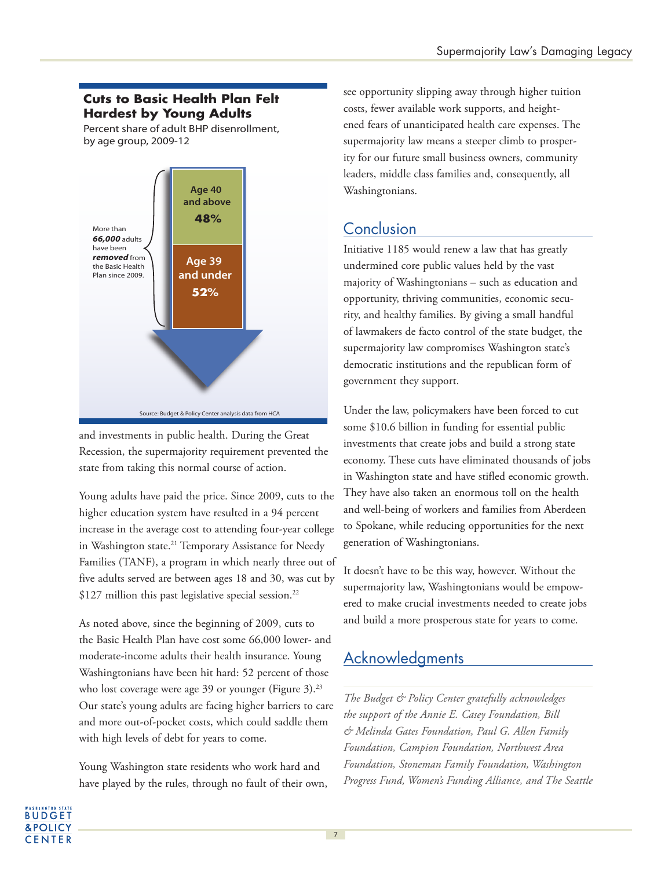#### **Cuts to Basic Health Plan Felt Hardest by Young Adults**

Percent share of adult BHP disenrollment, by age group, 2009-12



and investments in public health. During the Great Recession, the supermajority requirement prevented the state from taking this normal course of action.

Young adults have paid the price. Since 2009, cuts to the higher education system have resulted in a 94 percent increase in the average cost to attending four-year college in Washington state.<sup>21</sup> Temporary Assistance for Needy Families (TANF), a program in which nearly three out of five adults served are between ages 18 and 30, was cut by  $$127$  million this past legislative special session.<sup>22</sup>

As noted above, since the beginning of 2009, cuts to the Basic Health Plan have cost some 66,000 lower- and moderate-income adults their health insurance. Young Washingtonians have been hit hard: 52 percent of those who lost coverage were age 39 or younger (Figure 3).<sup>23</sup> Our state's young adults are facing higher barriers to care and more out-of-pocket costs, which could saddle them with high levels of debt for years to come.

Young Washington state residents who work hard and have played by the rules, through no fault of their own, see opportunity slipping away through higher tuition costs, fewer available work supports, and heightened fears of unanticipated health care expenses. The supermajority law means a steeper climb to prosperity for our future small business owners, community leaders, middle class families and, consequently, all Washingtonians.

# **Conclusion**

Initiative 1185 would renew a law that has greatly undermined core public values held by the vast majority of Washingtonians – such as education and opportunity, thriving communities, economic security, and healthy families. By giving a small handful of lawmakers de facto control of the state budget, the supermajority law compromises Washington state's democratic institutions and the republican form of government they support.

Under the law, policymakers have been forced to cut some \$10.6 billion in funding for essential public investments that create jobs and build a strong state economy. These cuts have eliminated thousands of jobs in Washington state and have stifled economic growth. They have also taken an enormous toll on the health and well-being of workers and families from Aberdeen to Spokane, while reducing opportunities for the next generation of Washingtonians.

It doesn't have to be this way, however. Without the supermajority law, Washingtonians would be empowered to make crucial investments needed to create jobs and build a more prosperous state for years to come.

# Acknowledgments

*The Budget & Policy Center gratefully acknowledges the support of the Annie E. Casey Foundation, Bill & Melinda Gates Foundation, Paul G. Allen Family Foundation, Campion Foundation, Northwest Area Foundation, Stoneman Family Foundation, Washington Progress Fund, Women's Funding Alliance, and The Seattle*